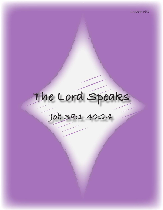# **The Lord Speaks**

**Job 38:1-40:24**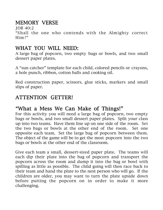# MEMORY VERSE

JOB 40:2

"Shall the one who contends with the Almighty correct Him?"

## WHAT YOU WILL NEED:

A large bag of popcorn, two empty bags or bowls, and two small dessert paper plates.

A "sun catcher" template for each child, colored pencils or crayons, a hole punch, ribbon, cotton balls and cooking oil.

Red construction paper, scissors, glue sticks, markers and small slips of paper.

# ATTENTION GETTER!

## "What a Mess We Can Make of Things!"

For this activity you will need a large bag of popcorn, two empty bags or bowls, and two small dessert paper plates. Split your class up into two teams. Have them line up on one side of the room. Set the two bags or bowls at the other end of the room. Set one opposite each team. Set the large bag of popcorn between them. The object of the game will be to get the most popcorn into the two bags or bowls at the other end of the classroom.

Give each team a small, dessert-sized paper plate. The teams will each dip their plate into the bag of popcorn and transport the popcorn across the room and dump it into the bag or bowl with spilling as little as possible. The child going will then race back to their team and hand the plate to the next person who will go. If the children are older, you may want to turn the plate upside down before putting the popcorn on in order to make it more challenging.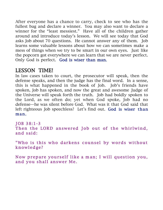After everyone has a chance to carry, check to see who has the fullest bag and declare a winner. You may also want to declare a winner for the "least messiest." Have all of the children gather around and introduce today's lesson. We will see today that God asks Job about 70 questions. He cannot answer any of them. Job learns some valuable lessons about how we can sometimes make a mess of things when we try to be smart in our own eyes. Just like the popcorn got everywhere we can learn that we are never perfect. Only God is perfect. God is wiser than man.

## LESSON TIME!

In law cases taken to court, the prosecutor will speak, then the defense speaks, and then the judge has the final word. In a sense, this is what happened in the book of Job. Job's friends have spoken, Job has spoken, and now the great and awesome Judge of the Universe will speak forth the truth. Job had boldly spoken to the Lord, as we often do; yet when God spoke, Job had no defense—he was silent before God. What was it that God said that left righteous Job speechless? Let's find out. God is wiser than man.

JOB 38:1-3 Then the LORD answered Job out of the whirlwind, and s aid:

"Who is this who darkens counsel by words without knowledge?

Now prepare yourself like a man; I will question you, and you shall answer Me.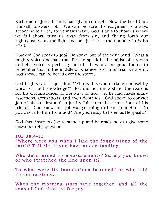Each one of Job's friends had given counsel. Now the Lord God, Himself, answers Job. We can be sure His judgment is always according to truth, above man's ways. God is able to show us where we fall short, turn us away from sin, and "bring forth our righteousness as the light and our justice as the noonday" (Psalm 37:6).

How did God speak to Job? He spoke out of the whirlwind. What a mighty voice God has, that He can speak in the midst of a storm and His voice is perfectly heard. It would be good for us to remember that in the middle of whatever storm or trial we are in, God's voice can be heard over the storm.

God begins with a question, "Who is this who darkens counsel by words without knowledge?" Job did not understand the reasons for his circumstances or the ways of God, yet he had made many assertions, accusations, and even demands. God spoke to convict Job of his sin first and to justify Job from the accusations of his friends. God knew that Job was yearning to hear from Him. Do you desire to hear from God? Are you ready to listen as He speaks?

God then instructs Job to stand up and be ready now to give some answers to His questions.

JOB 38:4-11 "Where were you when I laid the foundations of the earth? Tell Me, if you have understanding.

Who determined its measurements? Surely you know! or who stretched the line upon it?

To what were its foundations fastened? or who laid its cornerstone,

When the morning stars sang together, and all the sons of God shouted for joy?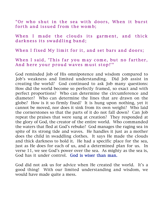" Or who shut in the sea with doors, When it burst forth and issued from the womb;

When I made the clouds its garment, and thick darkness its swaddling band;

When I fixed My limit for it, and set bars and doors;

#### When I said, 'This far you may come, but no farther, And here your proud waves must stop!'"

God reminded Job of His omnipotence and wisdom compared to Job's weakness and limited understanding. Did Job assist in creating the world? God continued to ask Job many questions: How did the world become so perfectly framed, so exact and with perfect proportions? Who can determine the circumference and diameter? Who can determine the lines that are drawn on the globe? How is it so firmly fixed? It is hung upon nothing, yet it cannot be moved, nor does it sink from its own weight? Who laid the cornerstones so that the parts of it do not fall down? Can Job repeat the praises that were sung at creation? They responded at the glory of God, the creator of the entire world. Who commanded the waters that fled at God's rebuke? God manages the raging sea in spite of its strong tide and waves. He handles it just as a mother does the child in swaddling clothes. It says He made the clouds and thick darkness to hold it. He had a specific place for the sea, just as He does for each of us, and a determined plan for us. In verse 11, we see God's power over the sea. As mighty as the sea is, God has it under control. God is wiser than man.

God did not ask us for advice when He created the world. It's a good thing! With our limited understanding and wisdom, we would have made quite a mess.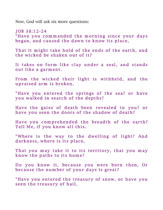Now, God will ask six more questions:

 $JOB$  38:12-24 "Have you commanded the morning since your days began, and caused the dawn to know its place,

That it might take hold of the ends of the earth, and the wicked be shaken out of it?

It takes on form like clay under a seal, and stands out like a garment.

From the wicked their light is withheld, and the upraised arm is broken.

"Have you entered the springs of the sea? or have you walked in search of the depths?

Have the gates of death been revealed to you? or have you seen the doors of the shadow of death?

Have you comprehended the breadth of the earth? Tell Me, if you know all this.

"Where is the way to the dwelling of light? And darkness, where is its place,

That you may take it to its territory, that you may know the paths to its home?

Do you know it, because you were born then, Or because the number of your days is great?

"Have you entered the treasury of snow, or have you seen the treasury of hail,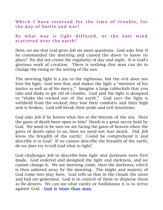## Which I have reserved for the time of trouble, for the day of battle and war?

### By what way is light diffused, or the east wind scattered over the earth?

Here, we see that God gives Job six more questions. God asks him if he commanded the morning and caused the dawn to know its place? We did not create the regularity of day and night. It is God's glorious work of creation. There is nothing that man can do to change the rising or the setting of the sun.

The morning light is a joy to the righteous, but the evil does not love the light. God sees that, and makes the light a "minister of his justice as well as of his mercy." Imagine a large tablecloth that you take and shake to get rid of crumbs. God said the light is designed to "shake the wicked out of the earth." God says the light is withheld from the wicked; they lose their comforts and their high arm is broken. God will break their pride and evil intentions.

God asks Job if he knows what lies at the bottom of the sea. Have the gates of death been open to him? Death is a great secret held by God. We need to be sure we are facing the gates of heaven when the gates of death open to us, then we need not fear death. Did Job know the breadth of the earth? Could he comprehend it and describe it to God? If we cannot describe the breadth of the earth, do we dare try to tell God what is right?

God challenges Job to describe how light and darkness were first made. God ordered and designed the light and darkness, and we cannot change it. We see morning come, then the darkness, which is then ushered away by the morning. The might and majesty of God come into play here. God tells us that in the clouds the snow and hail are generated. God is in control of them to disperse them as He desires. We can see what vanity or foolishness it is to strive against God. God is wiser than man.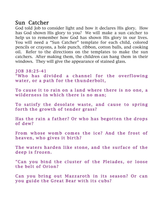## Sun Catcher

God told Job to consider light and how it declares His glory. How has God shown His glory to you? We will make a sun catcher to help us to remember how God has shown His glory in our lives. You will need a "Sun Catcher" template for each child, colored pencils or crayons, a hole punch, ribbon, cotton balls, and cooking oil. Refer to the directions on the templates to make the sun catchers. After making them, the children can hang them in their windows. They will give the appearance of stained glass.

JOB 38:25-41

"Who has divided a channel for the overflowing water, or a path for the thunderbolt,

To cause it to rain on a land where there is no one, a wilderness in which there is no man;

To satisfy the desolate waste, and cause to spring forth the growth of tender grass?

Has the rain a father? Or who has begotten the drops of dew?

From whose womb comes the ice? And the frost of heaven, who gives it birth?

The waters harden like stone, and the surface of the deep is frozen.

" Can you bind the cluster of the Pleiades, or loose the belt of Orion?

Can you bring out Mazzaroth in its season? Or can you guide the Great Bear with its cubs?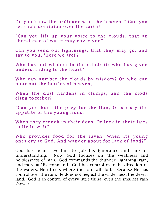Do you know the ordinances of the heavens? Can you set their dominion over the earth?

" Can you lift up your voice to the clouds, that an abundance of water may cover you?

Can you send out lightnings, that they may go, and say to you, 'Here we are!'?

Who has put wisdom in the mind? Or who has given under standing to the heart?

Who can number the clouds by wisdom? Or who can pour out the bottles of heaven,

When the dust hardens in clumps, and the clods cling together?

" Can you hunt the prey for the lion, Or satisfy the appetite of the young lions,

When they crouch in their dens, Or lurk in their lairs to lie in wait?

Who provides food for the raven, When its young ones cry to God, And wander about for lack of food?"

God has been revealing to Job his ignorance and lack of understanding. Now God focuses on the weakness and helplessness of man. God commands the thunder, lightning, rain, and more at His command. God has control over the direction of the waters; He directs where the rain will fall. Because He has control over the rain, He does not neglect the wilderness, the desert land. God is in control of every little thing, even the smallest rain shower.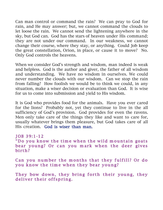Can man control or command the rain? We can pray to God for rain, and He may answer; but, we cannot command the clouds to let loose the rain. We cannot send the lightening anywhere in the sky, but God can. God has the stars of heaven under His command; they are not under our command. In our weakness, we cannot change their course, where they stay, or anything. Could Job keep the great constellation, Orion, in place, or cause it to move? No. Only God controls the heavens.

When we consider God's strength and wisdom, man indeed is weak and helpless. God is the author and giver, the father of all wisdom and understanding. We have no wisdom in ourselves. We could never number the clouds with our wisdom. Can we stop the rain from falling? How foolish we would be to think we could, in any situation, make a wiser decision or evaluation than God. It is wise for us to come into submission and yield to His wisdom.

It is God who provides food for the animals. Have you ever cared for the lions? Probably not, yet they continue to live in the all sufficiency of God's provision. God provides for even the ravens. Men only take care of the things they like and want to care for, usually whatever brings them pleasure, but God takes care of all His creation. God is wiser than man.

#### JOB 39:1-12 "Do you know the time when the wild mountain goats bear young? Or can you mark when the deer gives birth?

Can you number the months that they fulfill? Or do you know the time when they bear young?

They bow down, they bring forth their young, they deliver their offspring.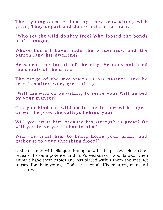Their young ones are healthy, they grow strong with grain; They depart and do not return to them.

"Who set the wild donkey free? Who loosed the bonds of the onager.

Whose home I have made the wilderness, and the barren land his dwelling?

He scorns the tumult of the city; He does not heed the shouts of the driver.

The range of the mountains is his pasture, and he searches after every green thing.

"Will the wild ox be willing to serve you? Will he bed by your manger?

Can you bind the wild ox in the furrow with ropes? Or will he plow the valleys behind you?

Will you trust him because his strength is great? Or will you leave your labor to him?

Will you trust him to bring home your grain, and gather it to your threshing floor?"

God continues with His questioning; and in the process, He further reveals His omnipotence and Job's weakness. God knows when animals have their babies and has placed within them the instinct to care for their young. God cares for all His creation, man and creatures.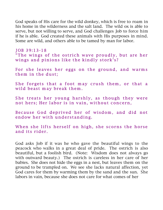God speaks of His care for the wild donkey, which is free to roam in his home in the wilderness and the salt land. The wild ox is able to serve, but not willing to serve, and God challenges Job to force him if he is able. God created these animals with His purposes in mind. Some are wild, and others able to be tamed by man for labor.

#### JOB 39:13-18

"The wings of the ostrich wave proudly, but are her wings and pinions like the kindly stork's?

For she leaves her eggs on the ground, and warms them in the dust;

She forgets that a foot may crush them, or that a wild beast may break them.

She treats her young harshly, as though they were not hers; Her labor is in vain, without concern,

Because God deprived her of wisdom, and did not endow her with understanding.

When she lifts herself on high, she scorns the horse and its rider.

God asks Job if it was he who gave the beautiful wings to the peacock who walks in a great deal of pride. The ostrich is also beautiful, but a foolish bird. (Note: Wisdom does not always go with outward beauty.) The ostrich is careless in her care of her babies. She does not hide the eggs in a nest, but leaves them on the ground to be trampled on. We see she lacks natural affection, yet God cares for them by warming them by the sand and the sun. She labors in vain, because she does not care for what comes of her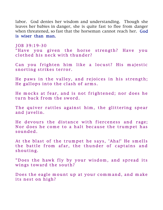labor. God denies her wisdom and understanding. Though she leaves her babies in danger, she is quite fast to flee from danger when threatened, so fast that the horseman cannot reach her. God is wiser than man.

J OB 39:19-30 "Have you given the horse strength? Have you clothed his neck with thunder?

Can you frighten him like a locust? His majestic snorting strikes terror.

He paws in the valley, and rejoices in his strength; He gallops into the clash of arms.

He mocks at fear, and is not frightened; nor does he turn back from the sword.

The quiver rattles against him, the glittering spear and javelin.

He devours the distance with fierceness and rage; Nor does he come to a halt because the trumpet has sounded.

At the blast of the trumpet he says, 'Aha!' He smells the battle from afar, the thunder of captains and shouting.

"Does the hawk fly by your wisdom, and spread its wings toward the south?

Does the eagle mount up at your command, and make its nest on high?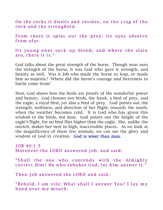On the rocks it dwells and resides, on the crag of the rock and the stronghold.

From there it spies out the prey; its eyes observe from afar.

Its young ones suck up blood; and where the slain are, there it is."

God talks about the great strength of the horse. Though man uses the strength of the horse, it was God who gave it strength, and beauty as well. Was it Job who made the horse to leap, or made him so majestic? Where did the horse's courage and fierceness in battle come from?

Next, God shows how the birds are proofs of His wonderful power and beauty. God chooses two birds, the hawk, a bird of prey, and the eagle, a royal bird, yet also a bird of prey. God points out the strength, swiftness, and direction of her flight, towards the south, when the weather becomes cold. It is God who has given this wisdom to the birds, not man. God points out the height of the eagle's flight, for no bird flies higher than the eagle. She, unlike the ostrich, makes her nest in high, inaccessible places. As we look at the magnificence of these few animals, we can see the glory and wisdom of God in creation. God is wiser than man.

 $JOB 40:1-5$ Moreover the LORD answered Job, and said:

"Shall the one who contends with the Almighty correct Him? He who rebukes God, let him answer it.'

Then Job answered the LORD and said:

"Behold, I am vile; What shall I answer You? I lay my hand over my mouth.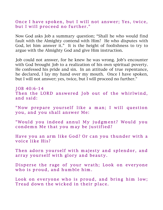#### Once I have spoken, but I will not answer; Yes, twice, but I will proceed no further."

Now God asks Job a summary question; "Shall he who would find fault with the Almighty contend with Him? He who disputes with God, let him answer it." It is the height of foolishness to try to argue with the Almighty God and give Him instruction.

Job could not answer, for he knew he was wrong. Job's encounter with God brought Job to a realization of his own spiritual poverty. He confessed his pride and sin. In an attitude of true repentance, he declared, I lay my hand over my mouth. Once I have spoken, but I will not answer; yes, twice, but I will proceed no further."

JOB 40:6-14 Then the LORD answered Job out of the whirlwind, and said:

"Now prepare yourself like a man; I will question you, and you shall answer Me:

"Would you indeed annul My judgment? Would you condemn Me that you may be justified?

Have you an arm like God? Or can you thunder with a voice like His?

Then adorn yourself with majesty and splendor, and array yourself with glory and beauty.

Disperse the rage of your wrath; Look on everyone who is proud, and humble him.

Look on everyone who is proud, and bring him low; Tread down the wicked in their place.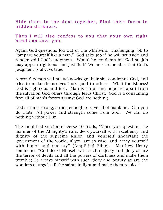Hide them in the dust together, Bind their faces in hidden darkness.

### Then I will also confess to you that your own right hand can save you.

Again, God questions Job out of the whirlwind, challenging Job to "prepare yourself like a man." God asks Job if he will set aside and render void God's judgment. Would he condemn his God so Job may appear righteous and justified? We must remember that God's judgment is always true.

A proud person will not acknowledge their sin, condemns God, and tries to make themselves look good to others. What foolishness! God is righteous and just. Man is sinful and hopeless apart from the salvation God offers through Jesus Christ. God is a consuming fire; all of man's forces against God are nothing.

God's arm is strong, strong enough to save all of mankind. Can you do that? All power and strength come from God. We can do nothing without Him.

The amplified version of verse 10 reads, "Since you question the manner of the Almighty's rule, deck yourself with excellency and dignity of the supreme Ruler, and yourself undertake the government of the world, if you are so wise, and array yourself with honor and majesty" (Amplified Bible). Matthew Henry comments, "God decks Himself with such majesty and glory as are the terror of devils and all the powers of darkness and make them tremble; He arrays himself with such glory and beauty as are the wonders of angels all the saints in light and make them rejoice."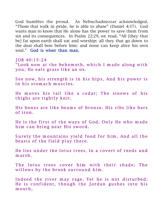God humbles the proud. As Nebuchadnezzar acknowledged, "Those that walk in pride, he is able to abase" (Daniel 4:37). God wants man to know that He alone has the power to save them from sin and its consequences. In Psalm 22:29, we read, "All [they that be] fat upon earth shall eat and worship: all they that go down to the dust shall bow before him: and none can keep alive his own soul." God is wiser than man.

JOB 40:15-24

"Look now at the behemoth, which I made along with you; He eats grass like an ox.

See now, his strength is in his hips, And his power is in his stomach muscles.

He moves his tail like a cedar; The sinews of his thighs are tightly knit.

His bones are like beams of bronze, His ribs like bars of iron.

He is the first of the ways of God; Only He who made him can bring near His sword.

Surely the mountains yield food for him, And all the beasts of the field play there.

He lies under the lotus trees, In a covert of reeds and m arsh.

The lotus trees cover him with their shade; The willows by the brook surround him.

Indeed the river may rage, Yet he is not disturbed; He is confident, though the Jordan gushes into his m outh,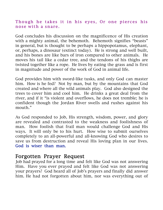## Though he takes it in his eyes, Or one pierces his nose with a snare.

God concludes his discussion on the magnificence of His creation with a mighty animal, the behemoth. Behemoth signifies "beasts" in general, but is thought to be perhaps a hippopotamus, elephant, or, perhaps, a dinosaur (extinct today). He is strong and well built, and his bones are like bars of iron compared to other animals. He moves his tail like a cedar tree, and the tendons of his thighs are twisted together like a rope. He lives by eating the grass and is first in magnitude and power of the work of God in animal life.

God provides him with sword-like tusks, and only God can master him. How is he fed? Not by man, but by the mountains that God created and where all the wild animals play. God also designed the trees to cover him and cool him. He drinks a great deal from the river, and if it "is violent and overflows, he does not tremble; he is confident though the Jordan River swells and rushes against his mouth."

As God responded to Job, His strength, wisdom, power, and glory are revealed and contrasted to the weakness and foolishness of man. How foolish that frail man would challenge God and His ways. It will only be to his hurt. How wise to submit ourselves completely to an all-powerful and all-knowing God who desires to save us from destruction and reveal His loving plan in our lives. God is wiser than man.

## Forgotten Prayer Request

Job had prayed for a long time and felt like God was not answering Him. Have you ever prayed and felt like God was not answering your prayers? God heard all of Job's prayers and finally did answer him. He had not forgotten about him, nor was everything out of